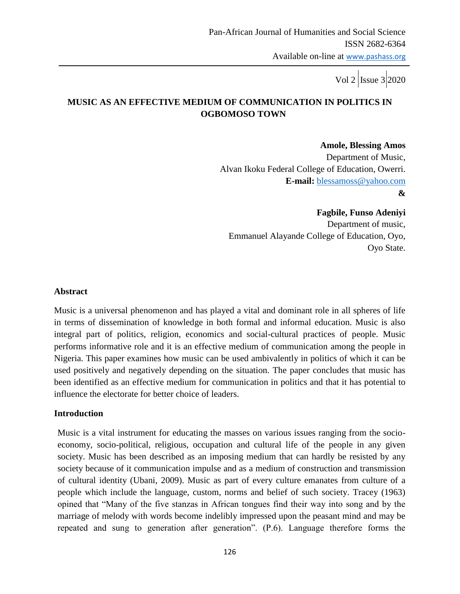# **MUSIC AS AN EFFECTIVE MEDIUM OF COMMUNICATION IN POLITICS IN OGBOMOSO TOWN**

 **Amole, Blessing Amos** Department of Music, Alvan Ikoku Federal College of Education, Owerri. **E-mail:** [blessamoss@yahoo.com](mailto:blessamoss@yahoo.com) **&**

 **Fagbile, Funso Adeniyi** Department of music, Emmanuel Alayande College of Education, Oyo, Oyo State.

#### **Abstract**

Music is a universal phenomenon and has played a vital and dominant role in all spheres of life in terms of dissemination of knowledge in both formal and informal education. Music is also integral part of politics, religion, economics and social-cultural practices of people. Music performs informative role and it is an effective medium of communication among the people in Nigeria. This paper examines how music can be used ambivalently in politics of which it can be used positively and negatively depending on the situation. The paper concludes that music has been identified as an effective medium for communication in politics and that it has potential to influence the electorate for better choice of leaders.

### **Introduction**

Music is a vital instrument for educating the masses on various issues ranging from the socioeconomy, socio-political, religious, occupation and cultural life of the people in any given society. Music has been described as an imposing medium that can hardly be resisted by any society because of it communication impulse and as a medium of construction and transmission of cultural identity (Ubani, 2009). Music as part of every culture emanates from culture of a people which include the language, custom, norms and belief of such society. Tracey (1963) opined that "Many of the five stanzas in African tongues find their way into song and by the marriage of melody with words become indelibly impressed upon the peasant mind and may be repeated and sung to generation after generation". (P.6). Language therefore forms the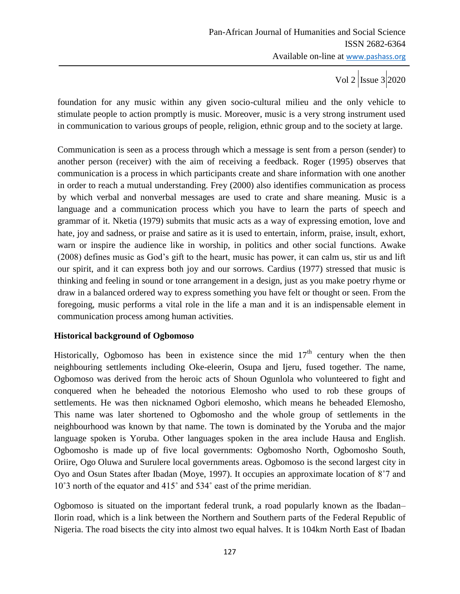foundation for any music within any given socio-cultural milieu and the only vehicle to stimulate people to action promptly is music. Moreover, music is a very strong instrument used in communication to various groups of people, religion, ethnic group and to the society at large.

Communication is seen as a process through which a message is sent from a person (sender) to another person (receiver) with the aim of receiving a feedback. Roger (1995) observes that communication is a process in which participants create and share information with one another in order to reach a mutual understanding. Frey (2000) also identifies communication as process by which verbal and nonverbal messages are used to crate and share meaning. Music is a language and a communication process which you have to learn the parts of speech and grammar of it. Nketia (1979) submits that music acts as a way of expressing emotion, love and hate, joy and sadness, or praise and satire as it is used to entertain, inform, praise, insult, exhort, warn or inspire the audience like in worship, in politics and other social functions. Awake (2008) defines music as God's gift to the heart, music has power, it can calm us, stir us and lift our spirit, and it can express both joy and our sorrows. Cardius (1977) stressed that music is thinking and feeling in sound or tone arrangement in a design, just as you make poetry rhyme or draw in a balanced ordered way to express something you have felt or thought or seen. From the foregoing, music performs a vital role in the life a man and it is an indispensable element in communication process among human activities.

### **Historical background of Ogbomoso**

Historically, Ogbomoso has been in existence since the mid  $17<sup>th</sup>$  century when the then neighbouring settlements including Oke-eleerin, Osupa and Ijeru, fused together. The name, Ogbomoso was derived from the heroic acts of Shoun Ogunlola who volunteered to fight and conquered when he beheaded the notorious Elemosho who used to rob these groups of settlements. He was then nicknamed Ogbori elemosho, which means he beheaded Elemosho, This name was later shortened to Ogbomosho and the whole group of settlements in the neighbourhood was known by that name. The town is dominated by the Yoruba and the major language spoken is Yoruba. Other languages spoken in the area include Hausa and English. Ogbomosho is made up of five local governments: Ogbomosho North, Ogbomosho South, Oriire, Ogo Oluwa and Surulere local governments areas. Ogbomoso is the second largest city in Oyo and Osun States after Ibadan (Moye, 1997). It occupies an approximate location of 8˚7 and 10˚3 north of the equator and 415˚ and 534˚ east of the prime meridian.

Ogbomoso is situated on the important federal trunk, a road popularly known as the Ibadan– Ilorin road, which is a link between the Northern and Southern parts of the Federal Republic of Nigeria. The road bisects the city into almost two equal halves. It is 104km North East of Ibadan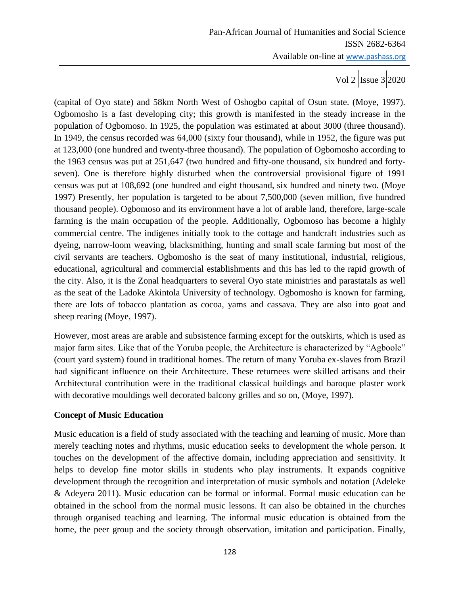(capital of Oyo state) and 58km North West of Oshogbo capital of Osun state. (Moye, 1997). Ogbomosho is a fast developing city; this growth is manifested in the steady increase in the population of Ogbomoso. In 1925, the population was estimated at about 3000 (three thousand). In 1949, the census recorded was 64,000 (sixty four thousand), while in 1952, the figure was put at 123,000 (one hundred and twenty-three thousand). The population of Ogbomosho according to the 1963 census was put at 251,647 (two hundred and fifty-one thousand, six hundred and fortyseven). One is therefore highly disturbed when the controversial provisional figure of 1991 census was put at 108,692 (one hundred and eight thousand, six hundred and ninety two. (Moye 1997) Presently, her population is targeted to be about 7,500,000 (seven million, five hundred thousand people). Ogbomoso and its environment have a lot of arable land, therefore, large-scale farming is the main occupation of the people. Additionally, Ogbomoso has become a highly commercial centre. The indigenes initially took to the cottage and handcraft industries such as dyeing, narrow-loom weaving, blacksmithing, hunting and small scale farming but most of the civil servants are teachers. Ogbomosho is the seat of many institutional, industrial, religious, educational, agricultural and commercial establishments and this has led to the rapid growth of the city. Also, it is the Zonal headquarters to several Oyo state ministries and parastatals as well as the seat of the Ladoke Akintola University of technology. Ogbomosho is known for farming, there are lots of tobacco plantation as cocoa, yams and cassava. They are also into goat and sheep rearing (Moye, 1997).

However, most areas are arable and subsistence farming except for the outskirts, which is used as major farm sites. Like that of the Yoruba people, the Architecture is characterized by "Agboole" (court yard system) found in traditional homes. The return of many Yoruba ex-slaves from Brazil had significant influence on their Architecture. These returnees were skilled artisans and their Architectural contribution were in the traditional classical buildings and baroque plaster work with decorative mouldings well decorated balcony grilles and so on, (Moye, 1997).

### **Concept of Music Education**

Music education is a field of study associated with the teaching and learning of music. More than merely teaching notes and rhythms, music education seeks to development the whole person. It touches on the development of the affective domain, including appreciation and sensitivity. It helps to develop fine motor skills in students who play instruments. It expands cognitive development through the recognition and interpretation of music symbols and notation (Adeleke & Adeyera 2011). Music education can be formal or informal. Formal music education can be obtained in the school from the normal music lessons. It can also be obtained in the churches through organised teaching and learning. The informal music education is obtained from the home, the peer group and the society through observation, imitation and participation. Finally,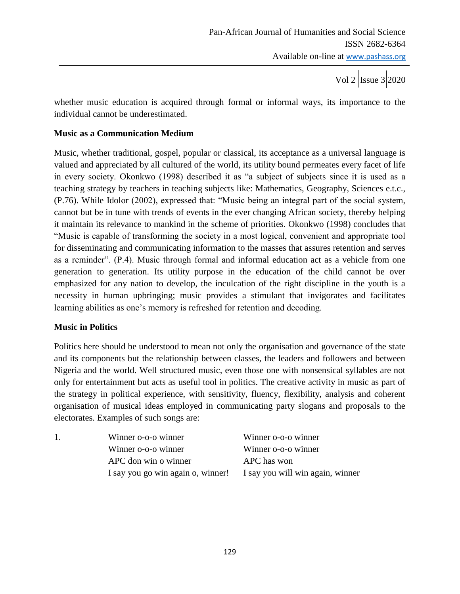whether music education is acquired through formal or informal ways, its importance to the individual cannot be underestimated.

#### **Music as a Communication Medium**

Music, whether traditional, gospel, popular or classical, its acceptance as a universal language is valued and appreciated by all cultured of the world, its utility bound permeates every facet of life in every society. Okonkwo (1998) described it as "a subject of subjects since it is used as a teaching strategy by teachers in teaching subjects like: Mathematics, Geography, Sciences e.t.c., (P.76). While Idolor (2002), expressed that: "Music being an integral part of the social system, cannot but be in tune with trends of events in the ever changing African society, thereby helping it maintain its relevance to mankind in the scheme of priorities. Okonkwo (1998) concludes that "Music is capable of transforming the society in a most logical, convenient and appropriate tool for disseminating and communicating information to the masses that assures retention and serves as a reminder". (P.4). Music through formal and informal education act as a vehicle from one generation to generation. Its utility purpose in the education of the child cannot be over emphasized for any nation to develop, the inculcation of the right discipline in the youth is a necessity in human upbringing; music provides a stimulant that invigorates and facilitates learning abilities as one's memory is refreshed for retention and decoding.

#### **Music in Politics**

Politics here should be understood to mean not only the organisation and governance of the state and its components but the relationship between classes, the leaders and followers and between Nigeria and the world. Well structured music, even those one with nonsensical syllables are not only for entertainment but acts as useful tool in politics. The creative activity in music as part of the strategy in political experience, with sensitivity, fluency, flexibility, analysis and coherent organisation of musical ideas employed in communicating party slogans and proposals to the electorates. Examples of such songs are:

| 1. | Winner o-o-o winner                                                | Winner o-o-o winner |
|----|--------------------------------------------------------------------|---------------------|
|    | Winner o-o-o winner                                                | Winner o-o-o winner |
|    | APC don win o winner                                               | APC has won         |
|    | I say you go win again o, winner! I say you will win again, winner |                     |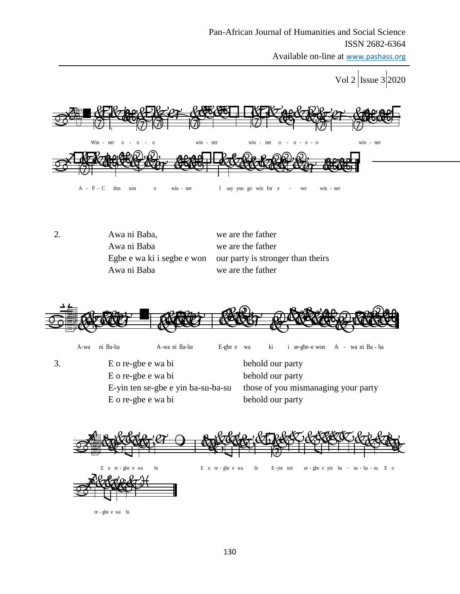Available on-line at www.pashass.org

Vol 2 | Issue 3 | 2020 man personal personal personal personal personal personal personal personal personal personal personal persona<br>District de l'altre de l'altre de l'altre de l'altre de l'altre de l'altre de l'altre de l'altre de l'altre de



| 2. | Awa ni Baba, | we are the father                                            |
|----|--------------|--------------------------------------------------------------|
|    | Awa ni Baba  | we are the father                                            |
|    |              | Egbe e wa ki i segbe e won our party is stronger than theirs |
|    | Awa ni Baba  | we are the father                                            |

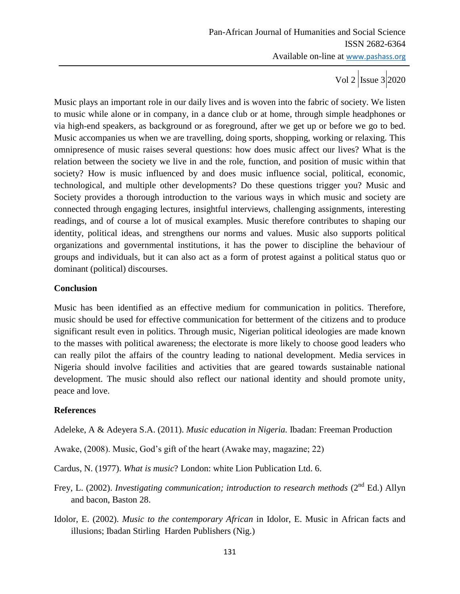Music plays an important role in our daily lives and is woven into the fabric of society. We listen to music while alone or in company, in a dance club or at home, through simple headphones or via high-end speakers, as background or as foreground, after we get up or before we go to bed. Music accompanies us when we are travelling, doing sports, shopping, working or relaxing. This omnipresence of music raises several questions: how does music affect our lives? What is the relation between the society we live in and the role, function, and position of music within that society? How is music influenced by and does music influence social, political, economic, technological, and multiple other developments? Do these questions trigger you? Music and Society provides a thorough introduction to the various ways in which music and society are connected through engaging lectures, insightful interviews, challenging assignments, interesting readings, and of course a lot of musical examples. Music therefore contributes to shaping our identity, political ideas, and strengthens our norms and values. Music also supports political organizations and governmental institutions, it has the power to discipline the behaviour of groups and individuals, but it can also act as a form of protest against a political status quo or dominant (political) discourses.

## **Conclusion**

Music has been identified as an effective medium for communication in politics. Therefore, music should be used for effective communication for betterment of the citizens and to produce significant result even in politics. Through music, Nigerian political ideologies are made known to the masses with political awareness; the electorate is more likely to choose good leaders who can really pilot the affairs of the country leading to national development. Media services in Nigeria should involve facilities and activities that are geared towards sustainable national development. The music should also reflect our national identity and should promote unity, peace and love.

### **References**

Adeleke, A & Adeyera S.A. (2011). *Music education in Nigeria.* Ibadan: Freeman Production

- Awake, (2008). Music, God's gift of the heart (Awake may, magazine; 22)
- Cardus, N. (1977). *What is music*? London: white Lion Publication Ltd. 6.
- Frey, L. (2002). *Investigating communication; introduction to research methods* (2<sup>nd</sup> Ed.) Allyn and bacon, Baston 28.
- Idolor, E. (2002). *Music to the contemporary African* in Idolor, E. Music in African facts and illusions; Ibadan Stirling Harden Publishers (Nig.)